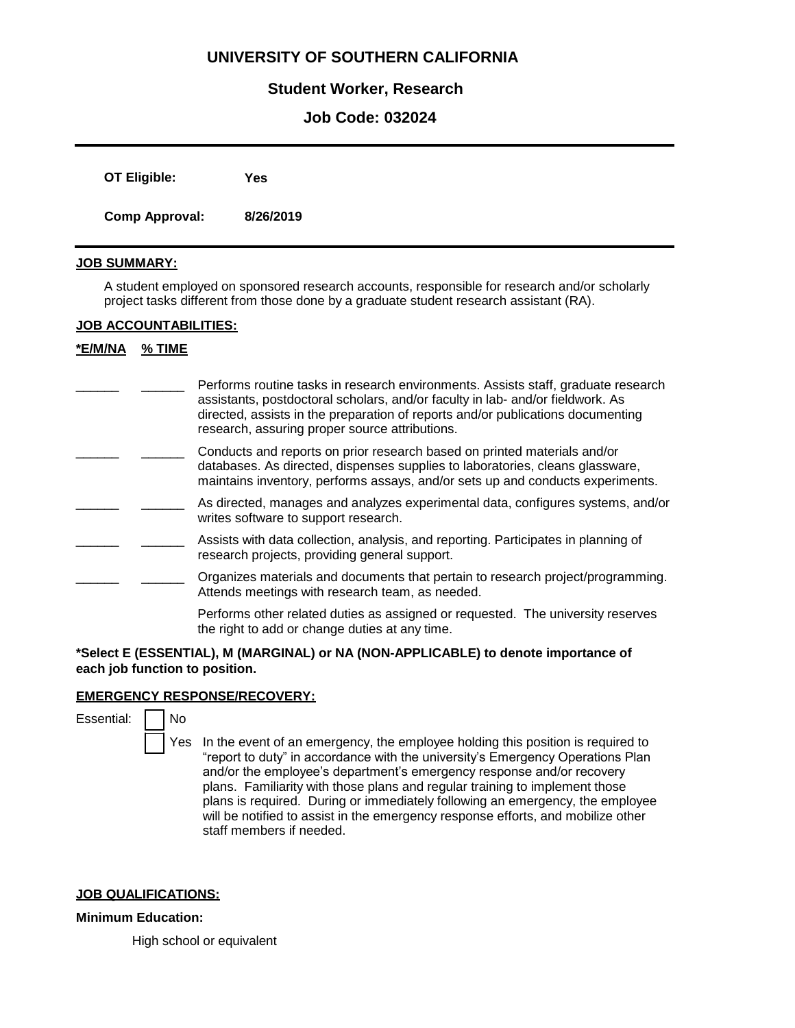# **UNIVERSITY OF SOUTHERN CALIFORNIA**

## **Student Worker, Research**

## **Job Code: 032024**

| <b>OT Eligible:</b>   | Yes       |
|-----------------------|-----------|
| <b>Comp Approval:</b> | 8/26/2019 |

### **JOB SUMMARY:**

A student employed on sponsored research accounts, responsible for research and/or scholarly project tasks different from those done by a graduate student research assistant (RA).

#### **JOB ACCOUNTABILITIES:**

### **\*E/M/NA % TIME**

| Performs routine tasks in research environments. Assists staff, graduate research |
|-----------------------------------------------------------------------------------|
| assistants, postdoctoral scholars, and/or faculty in lab- and/or fieldwork. As    |
| directed, assists in the preparation of reports and/or publications documenting   |
| research, assuring proper source attributions.                                    |

- Conducts and reports on prior research based on printed materials and/or databases. As directed, dispenses supplies to laboratories, cleans glassware, maintains inventory, performs assays, and/or sets up and conducts experiments.  $\mathcal{L}$
- As directed, manages and analyzes experimental data, configures systems, and/or writes software to support research.  $\overline{\phantom{a}}$
- Assists with data collection, analysis, and reporting. Participates in planning of research projects, providing general support.  $\overline{\phantom{a}}$
- \_\_\_\_\_\_ Organizes materials and documents that pertain to research project/programming. Attends meetings with research team, as needed.  $\overline{\phantom{a}}$

Performs other related duties as assigned or requested. The university reserves the right to add or change duties at any time.

#### **\*Select E (ESSENTIAL), M (MARGINAL) or NA (NON-APPLICABLE) to denote importance of each job function to position.**

#### **EMERGENCY RESPONSE/RECOVERY:**

- No
- Yes In the event of an emergency, the employee holding this position is required to "report to duty" in accordance with the university's Emergency Operations Plan and/or the employee's department's emergency response and/or recovery plans. Familiarity with those plans and regular training to implement those plans is required. During or immediately following an emergency, the employee will be notified to assist in the emergency response efforts, and mobilize other staff members if needed.

#### **JOB QUALIFICATIONS:**

#### **Minimum Education:**

High school or equivalent